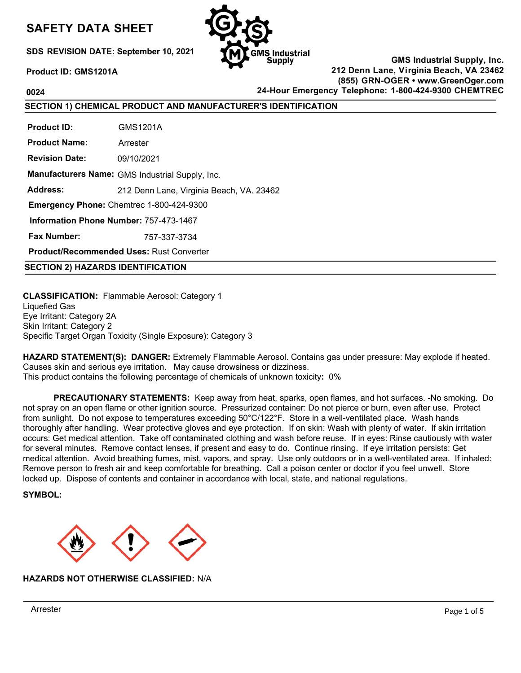# **SAFETY DATA SHEET**

**SDS REVISION DATE: September 10, 2021**



**Product ID: GMS1201A**

**GMS Industrial Supply, Inc. 212 Denn Lane, Virginia Beach, VA 23462 (855) GRN-OGER • www.GreenOger.com 0024 24-Hour Emergency Telephone: 1-800-424-9300 CHEMTREC**

**SECTION 1) CHEMICAL PRODUCT AND MANUFACTURER'S IDENTIFICATION**

**Product ID: Product Name: Revision Date: Manufacturers Name:**  GMS Industrial Supply, Inc. **Address:**  GMS1201A Arrester 09/10/2021 212 Denn Lane, Virginia Beach, VA. 23462 **Emergency Phone:** Chemtrec 1-800-424-9300 **Information Phone Number:** 757-473-1467 **Fax Number: Product/Recommended Uses:** Rust Converter 757-337-3734

**SECTION 2) HAZARDS IDENTIFICATION**

**CLASSIFICATION:** Flammable Aerosol: Category 1 Liquefied Gas Eye Irritant: Category 2A Skin Irritant: Category 2 Specific Target Organ Toxicity (Single Exposure): Category 3

**HAZARD STATEMENT(S): DANGER:** Extremely Flammable Aerosol. Contains gas under pressure: May explode if heated. Causes skin and serious eye irritation. May cause drowsiness or dizziness. This product contains the following percentage of chemicals of unknown toxicity**:** 0%

**PRECAUTIONARY STATEMENTS:** Keep away from heat, sparks, open flames, and hot surfaces. -No smoking. Do not spray on an open flame or other ignition source. Pressurized container: Do not pierce or burn, even after use. Protect from sunlight. Do not expose to temperatures exceeding 50°C/122°F. Store in a well-ventilated place. Wash hands thoroughly after handling. Wear protective gloves and eye protection. If on skin: Wash with plenty of water. If skin irritation occurs: Get medical attention. Take off contaminated clothing and wash before reuse. If in eyes: Rinse cautiously with water for several minutes. Remove contact lenses, if present and easy to do. Continue rinsing. If eye irritation persists: Get medical attention. Avoid breathing fumes, mist, vapors, and spray. Use only outdoors or in a well-ventilated area. If inhaled: Remove person to fresh air and keep comfortable for breathing. Call a poison center or doctor if you feel unwell. Store locked up. Dispose of contents and container in accordance with local, state, and national regulations.

**SYMBOL:**



**HAZARDS NOT OTHERWISE CLASSIFIED:** N/A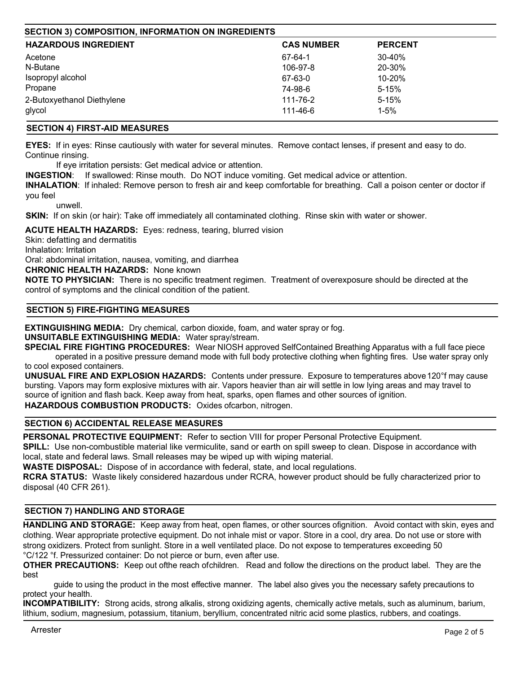| <b>SECTION 3) COMPOSITION, INFORMATION ON INGREDIENTS</b> |                   |                |
|-----------------------------------------------------------|-------------------|----------------|
| <b>HAZARDOUS INGREDIENT</b>                               | <b>CAS NUMBER</b> | <b>PERCENT</b> |
| Acetone                                                   | 67-64-1           | 30-40%         |
| N-Butane                                                  | 106-97-8          | 20-30%         |
| Isopropyl alcohol                                         | 67-63-0           | 10-20%         |
| Propane                                                   | 74-98-6           | $5 - 15%$      |
| 2-Butoxyethanol Diethylene                                | 111-76-2          | $5 - 15%$      |
| glycol                                                    | 111-46-6          | $1 - 5%$       |

## **SECTION 4) FIRST-AID MEASURES**

**EYES:** If in eyes: Rinse cautiously with water for several minutes. Remove contact lenses, if present and easy to do. Continue rinsing.

If eye irritation persists: Get medical advice or attention.

**INGESTION**: If swallowed: Rinse mouth. Do NOT induce vomiting. Get medical advice or attention.

**INHALATION**: If inhaled: Remove person to fresh air and keep comfortable for breathing. Call a poison center or doctor if you feel

unwell.

**SKIN:** If on skin (or hair): Take off immediately all contaminated clothing. Rinse skin with water or shower.

**ACUTE HEALTH HAZARDS:** Eyes: redness, tearing, blurred vision

Skin: defatting and dermatitis

Inhalation: Irritation

Oral: abdominal irritation, nausea, vomiting, and diarrhea

**CHRONIC HEALTH HAZARDS:** None known

**NOTE TO PHYSICIAN:** There is no specific treatment regimen. Treatment of overexposure should be directed at the control of symptoms and the clinical condition of the patient.

## **SECTION 5) FIRE-FIGHTING MEASURES**

**EXTINGUISHING MEDIA:** Dry chemical, carbon dioxide, foam, and water spray or fog.

**UNSUITABLE EXTINGUISHING MEDIA:** Water spray/stream.

**SPECIAL FIRE FIGHTING PROCEDURES:** Wear NIOSH approved Self Contained Breathing Apparatus with a full face piece operated in a positive pressure demand mode with full body protective clothing when fighting fires. Use water spray only to cool exposed containers.

**UNUSUAL FIRE AND EXPLOSION HAZARDS:** Contents under pressure. Exposure to temperatures above 120°f may cause bursting. Vapors may form explosive mixtures with air. Vapors heavier than air will settle in low lying areas and may travel to source of ignition and flash back. Keep away from heat, sparks, open flames and other sources of ignition.

HAZARDOUS COMBUSTION PRODUCTS: Oxides of carbon, nitrogen.

# **SECTION 6) ACCIDENTAL RELEASE MEASURES**

**PERSONAL PROTECTIVE EQUIPMENT:** Refer to section VIII for proper Personal Protective Equipment.

**SPILL:** Use non-combustible material like vermiculite, sand or earth on spill sweep to clean. Dispose in accordance with local, state and federal laws. Small releases may be wiped up with wiping material.

**WASTE DISPOSAL:** Dispose of in accordance with federal, state, and local regulations.

**RCRA STATUS:** Waste likely considered hazardous under RCRA, however product should be fully characterized prior to disposal (40 CFR 261).

# **SECTION 7) HANDLING AND STORAGE**

**HANDLING AND STORAGE:** Keep away from heat, open flames, or other sources ofignition. Avoid contact with skin, eyes and clothing. Wear appropriate protective equipment. Do not inhale mist or vapor. Store in a cool, dry area. Do not use or store with strong oxidizers. Protect from sunlight. Store in a well ventilated place. Do not expose to temperatures exceeding 50 °C/122 °f. Pressurized container: Do not pierce or burn, even after use.

**OTHER PRECAUTIONS:** Keep out of the reach of children. Read and follow the directions on the product label. They are the best

guide to using the product in the most effective manner. The label also gives you the necessary safety precautions to protect your health.

**INCOMPATIBILITY:** Strong acids, strong alkalis, strong oxidizing agents, chemically active metals, such as aluminum, barium, lithium, sodium, magnesium, potassium, titanium, beryllium, concentrated nitric acid some plastics, rubbers, and coatings.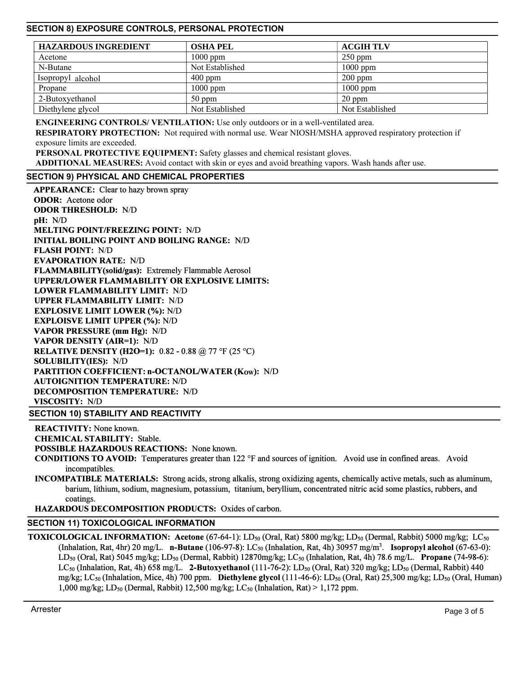# **SECTION 8) EXPOSURE CONTROLS, PERSONAL PROTECTION**

| <b>HAZARDOUS INGREDIENT</b> | <b>OSHA PEL</b> | <b>ACGIH TLV</b> |
|-----------------------------|-----------------|------------------|
| Acetone                     | $1000$ ppm      | $250$ ppm        |
| N-Butane                    | Not Established | $1000$ ppm       |
| Isopropyl alcohol           | $400$ ppm       | $200$ ppm        |
| Propane                     | $1000$ ppm      | $1000$ ppm       |
| 2-Butoxyethanol             | $50$ ppm        | $20$ ppm         |
| Diethylene glycol           | Not Established | Not Established  |

**ENGINEERING CONTROLS/ VENTILATION:** Use only outdoors or in a well-ventilated area.

**RESPIRATORY PROTECTION:** Not required with normal use. Wear NIOSH/MSHA approved respiratory protection if exposure limits are exceeded.

**PERSONAL PROTECTIVE EQUIPMENT:** Safety glasses and chemical resistant gloves.

**ADDITIONAL MEASURES:** Avoid contact with skin or eyes and avoid breathing vapors. Wash hands after use.

#### **SECTION 9) PHYSICAL AND CHEMICAL PROPERTIES**

**APPEARANCE:** Clear to hazy brown spray **ODOR:** Acetone odor **ODOR THRESHOLD:** *NID* **pH:** *NID* **MELTING POINT/FREEZING POINT:** *NID* **INITIAL BOILING POINT AND BOILING RANGE:** *NID* **FLASH POINT:** *NID* **EVAPORATION RATE:** *NID* **FLAMMABILITY(solid/gas):** Extremely Flammable Aerosol **UPPER/LOWER FLAMMABILITY OR EXPLOSIVE LIMITS: LOWER FLAMMABILITY LIMIT:** *NID* **UPPER FLAMMABILITY LIMIT:** *NID* **EXPLOSIVE LIMIT LOWER (%):** *NID* **EXPLOISVE LIMIT UPPER (%):** *NID* **VAPOR PRESSURE (mm Hg):** *NID* **VAPOR DENSITY (AIR=l):** *NID* **RELATIVE DENSITY (H2O=1):** 0.82 - 0.88 @ 77 °F (25 °C) **SOLUBILITY(IES):** *NID* **PARTITION COEFFICIENT: n-OCTANOL/WATER (Kow):** *NID* **AUTOIGNITION TEMPERATURE:** *NID* **DECOMPOSITION TEMPERATURE:** *NID* **VISCOSITY:** *NID*

**SECTION 10) STABILITY AND REACTIVITY**

**REACTIVITY:** None known. **CHEMICAL STABILITY: Stable.** 

**POSSIBLE HAZARDOUS REACTIONS:** None known.

**CONDITIONS TO AVOID:** Temperatures greater than 122 °F and sources of ignition. Avoid use in confined areas. Avoid incompatibles.

**INCOMPATIBLE MATERIALS:** Strong acids, strong alkalis, strong oxidizing agents, chemically active metals, such as aluminum, barium, lithium, sodium, magnesium, potassium, titanium, beryllium, concentrated nitric acid some plastics, rubbers, and coatings.

**HAZARDOUS DECOMPOSITION PRODUCTS:** Oxides of carbon.

#### **SECTION 11) TOXICOLOGICAL INFORMATION**

**TOXICOLOGICAL INFORMATION: Acetone** (67-64-1): LD<sub>50</sub> (Oral, Rat) 5800 mg/kg; LD<sub>50</sub> (Dermal, Rabbit) 5000 mg/kg; LC<sub>50</sub> (Inhalation, Rat, 4hr) 20 mg/L. **n-Butane** (106-97-8): LC<sub>50</sub> (Inhalation, Rat, 4h) 30957 mg/m<sup>3</sup>. **Isopropyl alcohol** (67-63-0): LDso (Oral, Rat) 5045 mg/kg; LDso (Dermal, Rabbit) 12870mg/kg; LCso (Inhalation, Rat, 4h) 78.6 mg/L. **Propane** (74-98-6): LCso (Inhalation, Rat, 4h) 658 mg/L. **2-Butoxyethanol** (111-76-2): LDso (Oral, Rat) 320 mg/kg; LDso (Dermal, Rabbit) 440 mg/kg; LCso (Inhalation, Mice, 4h) 700 ppm. **Diethylene glycol** (111-46-6): LDso (Oral, Rat) 25,300 mg/kg; LDso (Oral, Human) 1,000 mg/kg; LD<sub>50</sub> (Dermal, Rabbit) 12,500 mg/kg; LC<sub>50</sub> (Inhalation, Rat) > 1,172 ppm.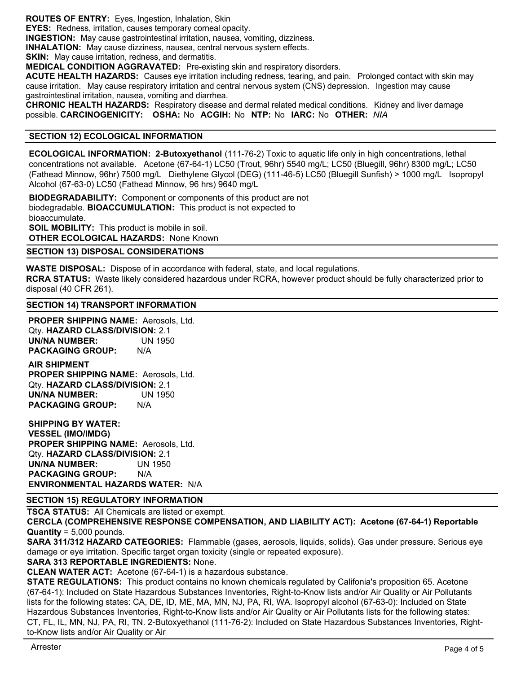**ROUTES OF ENTRY:** Eyes, Ingestion, Inhalation, Skin

**EYES:** Redness, irritation, causes temporary corneal opacity.

**INGESTION:** May cause gastrointestinal irritation, nausea, vomiting, dizziness.

**INHALATION:** May cause dizziness, nausea, central nervous system effects.

**SKIN:** May cause irritation, redness, and dermatitis.

**MEDICAL CONDITION AGGRAVATED:** Pre-existing skin and respiratory disorders.

**ACUTE HEALTH HAZARDS:** Causes eye irritation including redness, tearing, and pain. Prolonged contact with skin may cause irritation. May cause respiratory irritation and central nervous system (CNS) depression. Ingestion may cause gastrointestinal irritation, nausea, vomiting and diarrhea.

**CHRONIC HEALTH HAZARDS:** Respiratory disease and dermal related medical conditions. Kidney and liver damage possible. **CARCINOGENICITY: OSHA:** No **ACGIH:** No **NTP:** No **IARC:** No **OTHER:** *NIA*

# **SECTION 12) ECOLOGICAL INFORMATION**

**ECOLOGICAL INFORMATION: 2-Butoxyethanol** (111-76-2) Toxic to aquatic life only in high concentrations, lethal concentrations not available. Acetone (67-64-1) LC50 (Trout, 96hr) 5540 mg/L; LC50 (Bluegill, 96hr) 8300 mg/L; LC50 (Fathead Minnow, 96hr) 7500 mg/L Diethylene Glycol (DEG) (111-46-5) LC50 (Bluegill Sunfish) > 1000 mg/L Isopropyl Alcohol (67-63-0) LC50 (Fathead Minnow, 96 hrs) 9640 mg/L

**BIODEGRADABILITY:** Component or components of this product are not biodegradable. **BIOACCUMULATION:** This product is not expected to bioaccumulate. **SOIL MOBILITY:** This product is mobile in soil. **OTHER ECOLOGICAL HAZARDS:** None Known

**SECTION 13) DISPOSAL CONSIDERATIONS**

**WASTE DISPOSAL:** Dispose of in accordance with federal, state, and local regulations. **RCRA STATUS:** Waste likely considered hazardous under RCRA, however product should be fully characterized prior to disposal (40 CFR 261).

#### **SECTION 14) TRANSPORT INFORMATION**

**PROPER SHIPPING NAME:** Aerosols, Ltd. Qty. **HAZARD CLASS/DIVISION:** 2.1 **UN/NA NUMBER: PACKAGING GROUP:** N/A

**AIR SHIPMENT PROPER SHIPPING NAME:** Aerosols, Ltd. Qty. **HAZARD CLASS/DIVISION:** 2.1 UN 1950 N/A **UN/NA NUMBER: PACKAGING GROUP:** 

**SHIPPING BY WATER: VESSEL (IMO/IMDG) PROPER SHIPPING NAME:** Aerosols, Ltd. Qty. **HAZARD CLASS/DIVISION:** 2.1 **UN/NA NUMBER:** UN 1950 **PACKAGING GROUP:** N/A **ENVIRONMENTAL HAZARDS WATER:** N/A

# **SECTION 15) REGULATORY INFORMATION**

**TSCA STATUS:** All Chemicals are listed or exempt.

**CERCLA (COMPREHENSIVE RESPONSE COMPENSATION, AND LIABILITY ACT): Acetone (67-64-1) Reportable Quantity** = 5,000 pounds.

**SARA 311/312 HAZARD CATEGORIES:** Flammable (gases, aerosols, liquids, solids). Gas under pressure. Serious eye damage or eye irritation. Specific target organ toxicity (single or repeated exposure).

**SARA 313 REPORTABLE INGREDIENTS:** None.

**CLEAN WATER ACT:** Acetone (67-64-1) is a hazardous substance.

**STATE REGULATIONS:** This product contains no known chemicals regulated by Califonia's proposition 65. Acetone (67-64-1): Included on State Hazardous Substances Inventories, Right-to-Know lists and/or Air Quality or Air Pollutants lists for the following states: CA, DE, ID, ME, MA, MN, NJ, PA, RI, WA. Isopropyl alcohol (67-63-0): Included on State Hazardous Substances Inventories, Right-to-Know lists and/or Air Quality or Air Pollutants lists for the following states: CT, FL, IL, MN, NJ, PA, RI, TN. 2-Butoxyethanol (111-76-2): Included on State Hazardous Substances Inventories, Rightto-Know lists and/or Air Quality or Air